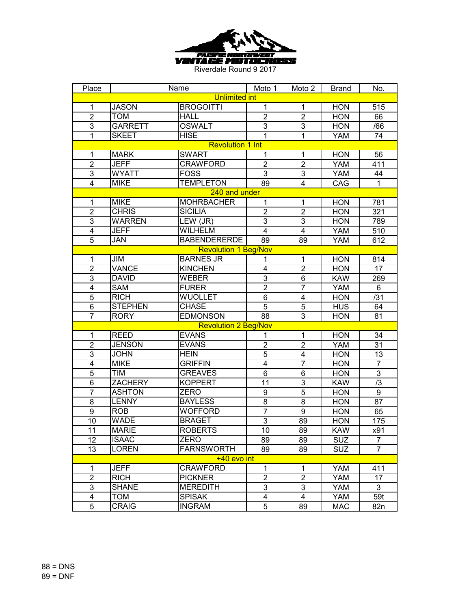

| Place                   |                         | Name                        | Moto 1          | Moto 2           | <b>Brand</b> | No.             |  |  |  |
|-------------------------|-------------------------|-----------------------------|-----------------|------------------|--------------|-----------------|--|--|--|
| <b>Unlimited int</b>    |                         |                             |                 |                  |              |                 |  |  |  |
| 1                       | <b>JASON</b>            | <b>BROGOITTI</b>            | 1               | 1                | <b>HON</b>   | 515             |  |  |  |
| $\overline{2}$          | <b>TOM</b>              | <b>HALL</b>                 | $\overline{2}$  | $\overline{2}$   | <b>HON</b>   | 66              |  |  |  |
| 3                       | <b>GARRETT</b>          | <b>OSWALT</b>               | $\overline{3}$  | $\overline{3}$   | <b>HON</b>   | /66             |  |  |  |
| $\overline{1}$          | <b>SKEET</b>            | <b>HISE</b>                 | 1               | $\mathbf{1}$     | <b>YAM</b>   | $\overline{74}$ |  |  |  |
|                         | <b>Revolution 1 Int</b> |                             |                 |                  |              |                 |  |  |  |
| $\mathbf{1}$            | <b>MARK</b>             | <b>SWART</b>                | $\mathbf{1}$    | 1                | <b>HON</b>   | 56              |  |  |  |
| $\overline{2}$          | <b>JEFF</b>             | <b>CRAWFORD</b>             | $\overline{2}$  | $\overline{2}$   | <b>YAM</b>   | 411             |  |  |  |
| 3                       | <b>WYATT</b>            | <b>FOSS</b>                 | $\overline{3}$  | 3                | <b>YAM</b>   | 44              |  |  |  |
| $\overline{\mathbf{4}}$ | <b>MIKE</b>             | <b>TEMPLETON</b>            | $\overline{89}$ | $\overline{4}$   | CAG          | $\mathbf{1}$    |  |  |  |
|                         |                         | 240 and under               |                 |                  |              |                 |  |  |  |
| $\mathbf{1}$            | <b>MIKE</b>             | <b>MOHRBACHER</b>           | $\overline{1}$  | 1                | <b>HON</b>   | 781             |  |  |  |
| $\overline{2}$          | <b>CHRIS</b>            | <b>SICILIA</b>              | $\overline{2}$  | $\overline{2}$   | <b>HON</b>   | 321             |  |  |  |
| $\overline{3}$          | <b>WARREN</b>           | LEW (JR)                    | 3               | $\overline{3}$   | <b>HON</b>   | 789             |  |  |  |
| $\overline{4}$          | <b>JEFF</b>             | <b>WILHELM</b>              | $\overline{4}$  | $\overline{4}$   | <b>YAM</b>   | 510             |  |  |  |
| $\overline{5}$          | JAN                     | <b>BABENDERERDE</b>         | 89              | 89               | <b>YAM</b>   | 612             |  |  |  |
|                         |                         | <b>Revolution 1 Beg/Nov</b> |                 |                  |              |                 |  |  |  |
| $\mathbf 1$             | JIM                     | <b>BARNES JR</b>            | 1               | 1                | <b>HON</b>   | 814             |  |  |  |
| $\overline{2}$          | <b>VANCE</b>            | <b>KINCHEN</b>              | 4               | $\overline{2}$   | <b>HON</b>   | 17              |  |  |  |
| $\overline{3}$          | <b>DAVID</b>            | <b>WEBER</b>                | $\overline{3}$  | 6                | <b>KAW</b>   | 269             |  |  |  |
| 4                       | <b>SAM</b>              | <b>FURER</b>                | $\overline{2}$  | $\overline{7}$   | <b>YAM</b>   | 6               |  |  |  |
| $\overline{5}$          | <b>RICH</b>             | WUOLLET                     | 6               | $\overline{4}$   | <b>HON</b>   | /31             |  |  |  |
| 6                       | <b>STEPHEN</b>          | <b>CHASE</b>                | $\overline{5}$  | 5                | <b>HUS</b>   | 64              |  |  |  |
| $\overline{7}$          | <b>RORY</b>             | <b>EDMONSON</b>             | 88              | 3                | <b>HON</b>   | 81              |  |  |  |
|                         |                         | <b>Revolution 2 Beg/Nov</b> |                 |                  |              |                 |  |  |  |
| $\mathbf 1$             | <b>REED</b>             | <b>EVANS</b>                | 1               | 1                | <b>HON</b>   | 34              |  |  |  |
| $\overline{2}$          | <b>JENSON</b>           | <b>EVANS</b>                | $\overline{2}$  | $\overline{2}$   | <b>YAM</b>   | 31              |  |  |  |
| $\overline{3}$          | <b>JOHN</b>             | <b>HEIN</b>                 | $\overline{5}$  | $\overline{4}$   | <b>HON</b>   | 13              |  |  |  |
| $\overline{4}$          | <b>MIKE</b>             | <b>GRIFFIN</b>              | $\overline{4}$  | $\overline{7}$   | <b>HON</b>   | $\overline{7}$  |  |  |  |
| $\overline{5}$          | TIM                     | <b>GREAVES</b>              | $\overline{6}$  | 6                | <b>HON</b>   | $\overline{3}$  |  |  |  |
| $\overline{6}$          | <b>ZACHERY</b>          | <b>KOPPERT</b>              | 11              | $\overline{3}$   | <b>KAW</b>   | /3              |  |  |  |
| $\overline{7}$          | <b>ASHTON</b>           | <b>ZERO</b>                 | 9               | $\overline{5}$   | <b>HON</b>   | 9               |  |  |  |
| $\overline{8}$          | <b>LENNY</b>            | <b>BAYLESS</b>              | 8               | $\bf 8$          | <b>HON</b>   | 87              |  |  |  |
| $\boldsymbol{9}$        | <b>ROB</b>              | <b>WOFFORD</b>              | $\overline{7}$  | $\boldsymbol{9}$ | <b>HON</b>   | 65              |  |  |  |
| 10                      | <b>WADE</b>             | <b>BRAGET</b>               | $\overline{3}$  | 89               | <b>HON</b>   | 175             |  |  |  |
| 11                      | <b>MARIE</b>            | <b>ROBERTS</b>              | 10              | 89               | <b>KAW</b>   | x91             |  |  |  |
| 12                      | <b>ISAAC</b>            | <b>ZERO</b>                 | 89              | 89               | <b>SUZ</b>   | 7               |  |  |  |
| 13                      | <b>LOREN</b>            | <b>FARNSWORTH</b>           | 89              | 89               | <b>SUZ</b>   | $\overline{7}$  |  |  |  |
|                         |                         | $+40$ evo int               |                 |                  |              |                 |  |  |  |
| 1                       | <b>JEFF</b>             | CRAWFORD                    | $\mathbf{1}$    | 1                | YAM          | 411             |  |  |  |
| $\overline{2}$          | <b>RICH</b>             | <b>PICKNER</b>              | $\overline{2}$  | $\overline{2}$   | YAM          | 17              |  |  |  |
| 3                       | <b>SHANE</b>            | <b>MEREDITH</b>             | 3               | 3                | YAM          | 3               |  |  |  |
| 4                       | TOM                     | <b>SPISAK</b>               | 4               | 4                | YAM          | 59t             |  |  |  |
| 5                       | CRAIG                   | <b>INGRAM</b>               | 5               | 89               | <b>MAC</b>   | 82n             |  |  |  |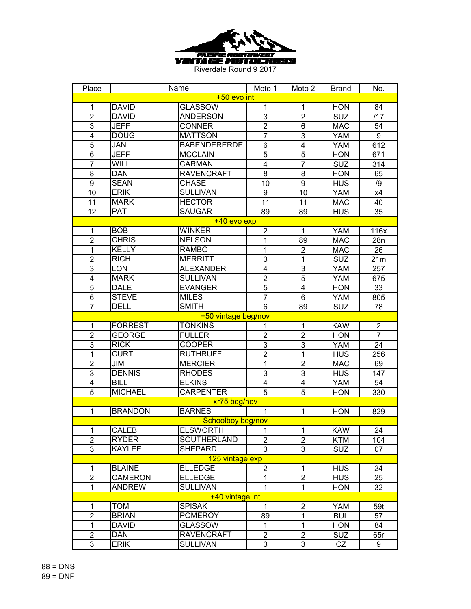

| Place                   |                | Name                | Moto 1                  | Moto 2                  | <b>Brand</b> | No.            |  |  |
|-------------------------|----------------|---------------------|-------------------------|-------------------------|--------------|----------------|--|--|
| +50 evo int             |                |                     |                         |                         |              |                |  |  |
| 1                       | <b>DAVID</b>   | <b>GLASSOW</b>      | 1                       | 1                       | <b>HON</b>   | 84             |  |  |
| $\overline{2}$          | <b>DAVID</b>   | <b>ANDERSON</b>     | 3                       | $\overline{2}$          | <b>SUZ</b>   | /17            |  |  |
| 3                       | <b>JEFF</b>    | <b>CONNER</b>       | $\overline{2}$          | $6\phantom{1}$          | <b>MAC</b>   | 54             |  |  |
| $\overline{\mathbf{4}}$ | <b>DOUG</b>    | <b>MATTSON</b>      | 7                       | $\overline{3}$          | <b>YAM</b>   | 9              |  |  |
| 5                       | JAN            | <b>BABENDERERDE</b> | $\overline{6}$          | $\overline{\mathbf{4}}$ | <b>YAM</b>   | 612            |  |  |
| 6                       | <b>JEFF</b>    | <b>MCCLAIN</b>      | $\overline{5}$          | $\overline{5}$          | <b>HON</b>   | 671            |  |  |
| $\overline{7}$          | WILL           | <b>CARMAN</b>       | $\overline{4}$          | $\overline{7}$          | <b>SUZ</b>   | 314            |  |  |
| 8                       | <b>DAN</b>     | <b>RAVENCRAFT</b>   | $\overline{8}$          | 8                       | <b>HON</b>   | 65             |  |  |
| 9                       | <b>SEAN</b>    | <b>CHASE</b>        | 10                      | 9                       | <b>HUS</b>   | /9             |  |  |
| 10                      | <b>ERIK</b>    | <b>SULLIVAN</b>     | 9                       | 10                      | <b>YAM</b>   | x4             |  |  |
| 11                      | <b>MARK</b>    | <b>HECTOR</b>       | $\overline{11}$         | 11                      | <b>MAC</b>   | 40             |  |  |
| 12                      | <b>PAT</b>     | <b>SAUGAR</b>       | 89                      | 89                      | <b>HUS</b>   | 35             |  |  |
|                         |                | +40 evo exp         |                         |                         |              |                |  |  |
| 1                       | <b>BOB</b>     | WINKER              | $\overline{\mathbf{c}}$ | 1                       | <b>YAM</b>   | 116x           |  |  |
| $\overline{c}$          | <b>CHRIS</b>   | <b>NELSON</b>       | 1                       | 89                      | <b>MAC</b>   | 28n            |  |  |
| 1                       | <b>KELLY</b>   | <b>RAMBO</b>        | 1                       | $\overline{2}$          | <b>MAC</b>   | 26             |  |  |
| $\overline{2}$          | <b>RICH</b>    | <b>MERRITT</b>      | $\overline{3}$          | $\mathbf{1}$            | <b>SUZ</b>   | 21m            |  |  |
| $\mathbf{3}$            | LON            | <b>ALEXANDER</b>    | 4                       | 3                       | <b>YAM</b>   | 257            |  |  |
| $\overline{\mathbf{4}}$ | <b>MARK</b>    | <b>SULLIVAN</b>     | $\overline{2}$          | 5                       | <b>YAM</b>   | 675            |  |  |
| $\overline{5}$          | <b>DALE</b>    | <b>EVANGER</b>      | $\overline{5}$          | $\overline{\mathbf{4}}$ | <b>HON</b>   | 33             |  |  |
| $\,6$                   | <b>STEVE</b>   | <b>MILES</b>        | $\overline{7}$          | 6                       | <b>YAM</b>   | 805            |  |  |
| $\overline{7}$          | <b>DELL</b>    | <b>SMITH</b>        | 6                       | 89                      | <b>SUZ</b>   | 78             |  |  |
| +50 vintage beg/nov     |                |                     |                         |                         |              |                |  |  |
| 1                       | <b>FORREST</b> | <b>TONKINS</b>      | 1                       | $\mathbf{1}$            | <b>KAW</b>   | $\overline{2}$ |  |  |
| $\overline{2}$          | <b>GEORGE</b>  | <b>FULLER</b>       | $\overline{2}$          | $\overline{2}$          | <b>HON</b>   | $\overline{7}$ |  |  |
| 3                       | <b>RICK</b>    | <b>COOPER</b>       | 3                       | 3                       | <b>YAM</b>   | 24             |  |  |
| $\overline{1}$          | <b>CURT</b>    | <b>RUTHRUFF</b>     | $\overline{2}$          | $\overline{1}$          | <b>HUS</b>   | 256            |  |  |
| $\overline{2}$          | JIM            | <b>MERCIER</b>      | $\overline{1}$          | $\overline{2}$          | <b>MAC</b>   | 69             |  |  |
| $\overline{3}$          | <b>DENNIS</b>  | <b>RHODES</b>       | $\overline{3}$          | 3                       | <b>HUS</b>   | 147            |  |  |
| $\overline{4}$          | <b>BILL</b>    | <b>ELKINS</b>       | $\overline{4}$          | $\overline{\mathbf{4}}$ | <b>YAM</b>   | 54             |  |  |
| $\overline{5}$          | <b>MICHAEL</b> | <b>CARPENTER</b>    | $\overline{5}$          | $\overline{5}$          | <b>HON</b>   | 330            |  |  |
|                         |                | xr75 beg/nov        |                         |                         |              |                |  |  |
| $\mathbf{1}$            | <b>BRANDON</b> | <b>BARNES</b>       | $\mathbf{1}$            | $\mathbf{1}$            | <b>HON</b>   | 829            |  |  |
|                         |                | Schoolboy beg/nov   |                         |                         |              |                |  |  |
| 1                       | CALEB          | <b>ELSWORTH</b>     | 1                       | 1                       | <b>KAW</b>   | 24             |  |  |
| $\overline{2}$          | <b>RYDER</b>   | SOUTHERLAND         | $\overline{2}$          | $\overline{2}$          | <b>KTM</b>   | 104            |  |  |
| 3                       | <b>KAYLEE</b>  | <b>SHEPARD</b>      | $\overline{3}$          | 3                       | <b>SUZ</b>   | 07             |  |  |
| 125 vintage exp         |                |                     |                         |                         |              |                |  |  |
| 1                       | <b>BLAINE</b>  | <b>ELLEDGE</b>      | $\overline{2}$          | 1                       | <b>HUS</b>   | 24             |  |  |
| $\overline{2}$          | <b>CAMERON</b> | <b>ELLEDGE</b>      | $\mathbf{1}$            | $\overline{2}$          | <b>HUS</b>   | 25             |  |  |
| 1                       | <b>ANDREW</b>  | <b>SULLIVAN</b>     | $\mathbf{1}$            | 1                       | <b>HON</b>   | 32             |  |  |
| +40 vintage int         |                |                     |                         |                         |              |                |  |  |
| 1                       | <b>TOM</b>     | <b>SPISAK</b>       | 1                       | $\overline{2}$          | YAM          | 59t            |  |  |
| $\overline{2}$          | <b>BRIAN</b>   | <b>POMEROY</b>      | 89                      | $\mathbf{1}$            | <b>BUL</b>   | 57             |  |  |
| $\mathbf{1}$            | <b>DAVID</b>   | GLASSOW             | $\mathbf{1}$            | $\mathbf{1}$            | <b>HON</b>   | 84             |  |  |
| $\overline{2}$          | <b>DAN</b>     | <b>RAVENCRAFT</b>   | $\overline{c}$          | $\overline{2}$          | <b>SUZ</b>   | 65r            |  |  |
| 3                       | <b>ERIK</b>    | <b>SULLIVAN</b>     | 3                       | 3                       | CZ           | 9              |  |  |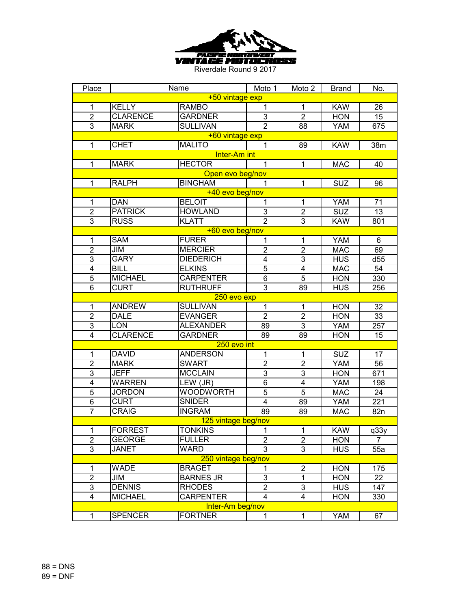

| Place                   |                 | Name                | Moto 1         | Moto 2                  | <b>Brand</b> | No.  |  |  |  |
|-------------------------|-----------------|---------------------|----------------|-------------------------|--------------|------|--|--|--|
| +50 vintage exp         |                 |                     |                |                         |              |      |  |  |  |
| 1                       | <b>KELLY</b>    | <b>RAMBO</b>        | 1              | $\mathbf 1$             | <b>KAW</b>   | 26   |  |  |  |
| $\overline{2}$          | <b>CLARENCE</b> | <b>GARDNER</b>      | 3              | $\overline{2}$          | <b>HON</b>   | 15   |  |  |  |
| 3                       | <b>MARK</b>     | <b>SULLIVAN</b>     | $\overline{2}$ | 88                      | <b>YAM</b>   | 675  |  |  |  |
|                         |                 | +60 vintage exp     |                |                         |              |      |  |  |  |
| $\mathbf{1}$            | <b>CHET</b>     | <b>MALITO</b>       | 1              | 89                      | <b>KAW</b>   | 38m  |  |  |  |
|                         |                 | Inter-Am int        |                |                         |              |      |  |  |  |
| $\mathbf{1}$            | <b>MARK</b>     | <b>HECTOR</b>       | 1              | $\mathbf{1}$            | <b>MAC</b>   | 40   |  |  |  |
|                         |                 | Open evo beg/nov    |                |                         |              |      |  |  |  |
| 1                       | <b>RALPH</b>    | <b>BINGHAM</b>      | 1              | 1                       | <b>SUZ</b>   | 96   |  |  |  |
|                         |                 | +40 evo beg/nov     |                |                         |              |      |  |  |  |
| $\mathbf 1$             | <b>DAN</b>      | <b>BELOIT</b>       | 1              | 1                       | <b>YAM</b>   | 71   |  |  |  |
| $\overline{2}$          | <b>PATRICK</b>  | <b>HOWLAND</b>      | 3              | $\overline{2}$          | <b>SUZ</b>   | 13   |  |  |  |
| $\overline{3}$          | <b>RUSS</b>     | <b>KLATT</b>        | $\overline{2}$ | $\overline{3}$          | <b>KAW</b>   | 801  |  |  |  |
|                         |                 | +60 evo beg/nov     |                |                         |              |      |  |  |  |
| 1                       | <b>SAM</b>      | <b>FURER</b>        | 1              | 1                       | YAM          | 6    |  |  |  |
| $\overline{2}$          | JIM             | <b>MERCIER</b>      | $\overline{2}$ | $\overline{2}$          | <b>MAC</b>   | 69   |  |  |  |
| 3                       | <b>GARY</b>     | <b>DIEDERICH</b>    | 4              | 3                       | <b>HUS</b>   | d55  |  |  |  |
| $\overline{\mathbf{4}}$ | <b>BILL</b>     | <b>ELKINS</b>       | $\overline{5}$ | $\overline{\mathbf{4}}$ | <b>MAC</b>   | 54   |  |  |  |
| $\overline{5}$          | <b>MICHAEL</b>  | <b>CARPENTER</b>    | $\overline{6}$ | 5                       | <b>HON</b>   | 330  |  |  |  |
| $6\phantom{1}6$         | <b>CURT</b>     | <b>RUTHRUFF</b>     | $\overline{3}$ | 89                      | <b>HUS</b>   | 256  |  |  |  |
|                         | 250 evo exp     |                     |                |                         |              |      |  |  |  |
| $\mathbf{1}$            | <b>ANDREW</b>   | <b>SULLIVAN</b>     | $\mathbf{1}$   | $\mathbf{1}$            | <b>HON</b>   | 32   |  |  |  |
| $\overline{2}$          | <b>DALE</b>     | <b>EVANGER</b>      | $\overline{2}$ | $\overline{2}$          | <b>HON</b>   | 33   |  |  |  |
| 3                       | <b>LON</b>      | <b>ALEXANDER</b>    | 89             | 3                       | YAM          | 257  |  |  |  |
| $\overline{\mathbf{4}}$ | <b>CLARENCE</b> | <b>GARDNER</b>      | 89             | 89                      | <b>HON</b>   | 15   |  |  |  |
| 250 evo int             |                 |                     |                |                         |              |      |  |  |  |
| $\mathbf{1}$            | <b>DAVID</b>    | <b>ANDERSON</b>     | 1              | 1                       | <b>SUZ</b>   | 17   |  |  |  |
| $\overline{2}$          | <b>MARK</b>     | <b>SWART</b>        | $\overline{2}$ | $\overline{2}$          | <b>YAM</b>   | 56   |  |  |  |
| $\overline{3}$          | <b>JEFF</b>     | <b>MCCLAIN</b>      | $\overline{3}$ | 3                       | <b>HON</b>   | 671  |  |  |  |
| $\overline{4}$          | <b>WARREN</b>   | LEW (JR)            | $\overline{6}$ | $\overline{\mathbf{4}}$ | <b>YAM</b>   | 198  |  |  |  |
| $\overline{5}$          | <b>JORDON</b>   | <b>WOODWORTH</b>    | $\overline{5}$ | 5                       | <b>MAC</b>   | 24   |  |  |  |
| $\overline{6}$          | <b>CURT</b>     | <b>SNIDER</b>       | $\overline{4}$ | 89                      | YAM          | 221  |  |  |  |
| $\overline{7}$          | <b>CRAIG</b>    | <b>INGRAM</b>       | 89             | 89                      | <b>MAC</b>   | 82n  |  |  |  |
|                         |                 | 125 vintage beg/nov |                |                         |              |      |  |  |  |
| 1                       | <b>FORREST</b>  | TONKINS             | 1              | 1                       | <b>KAW</b>   | q33y |  |  |  |
| $\overline{2}$          | <b>GEORGE</b>   | <b>FULLER</b>       | $\overline{2}$ | $\overline{2}$          | <b>HON</b>   | 7    |  |  |  |
| 3                       | <b>JANET</b>    | <b>WARD</b>         | $\overline{3}$ | 3                       | <b>HUS</b>   | 55a  |  |  |  |
|                         |                 | 250 vintage beg/nov |                |                         |              |      |  |  |  |
| 1                       | <b>WADE</b>     | <b>BRAGET</b>       | $\mathbf{1}$   | $\overline{2}$          | <b>HON</b>   | 175  |  |  |  |
| $\overline{2}$          | JIM             | <b>BARNES JR</b>    | 3              | $\mathbf{1}$            | <b>HON</b>   | 22   |  |  |  |
| 3                       | <b>DENNIS</b>   | <b>RHODES</b>       | $\overline{2}$ | 3                       | <b>HUS</b>   | 147  |  |  |  |
| 4                       | <b>MICHAEL</b>  | <b>CARPENTER</b>    | 4              | 4                       | <b>HON</b>   | 330  |  |  |  |
|                         |                 | Inter-Am beg/nov    |                |                         |              |      |  |  |  |
| $\mathbf 1$             | <b>SPENCER</b>  | <b>FORTNER</b>      | 1              | 1                       | <b>YAM</b>   | 67   |  |  |  |
|                         |                 |                     |                |                         |              |      |  |  |  |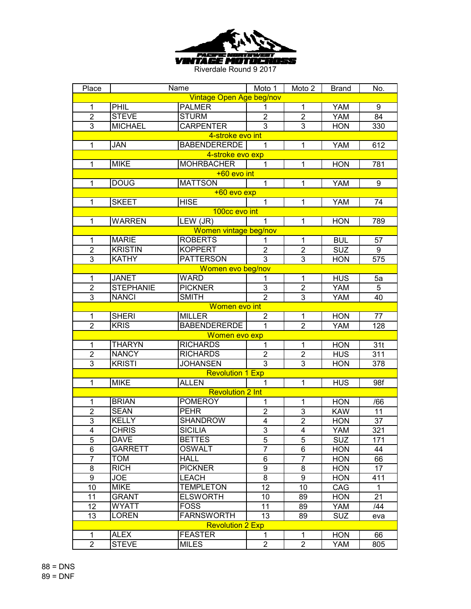

| Place                    |                  | Name                    | Moto 1           | Moto 2         | <b>Brand</b> | No.         |  |  |
|--------------------------|------------------|-------------------------|------------------|----------------|--------------|-------------|--|--|
| Vintage Open Age beg/nov |                  |                         |                  |                |              |             |  |  |
| 1                        | PHIL             | <b>PALMER</b>           | 1                | 1              | <b>YAM</b>   | 9           |  |  |
| $\overline{2}$           | <b>STEVE</b>     | <b>STURM</b>            | $\overline{2}$   | $\overline{2}$ | <b>YAM</b>   | 84          |  |  |
| 3                        | <b>MICHAEL</b>   | <b>CARPENTER</b>        | $\overline{3}$   | 3              | <b>HON</b>   | 330         |  |  |
|                          |                  | 4-stroke evo int        |                  |                |              |             |  |  |
| $\mathbf{1}$             | <b>JAN</b>       | <b>BABENDERERDE</b>     | $\mathbf{1}$     | $\mathbf{1}$   | <b>YAM</b>   | 612         |  |  |
|                          |                  | 4-stroke evo exp        |                  |                |              |             |  |  |
| $\mathbf{1}$             | <b>MIKE</b>      | <b>MOHRBACHER</b>       | $\mathbf{1}$     | $\mathbf{1}$   | <b>HON</b>   | 781         |  |  |
|                          |                  | +60 evo int             |                  |                |              |             |  |  |
| $\mathbf{1}$             | <b>DOUG</b>      | <b>MATTSON</b>          | $\overline{1}$   | 1              | <b>YAM</b>   | 9           |  |  |
|                          |                  | +60 evo exp             |                  |                |              |             |  |  |
| 1                        | <b>SKEET</b>     | <b>HISE</b>             | $\overline{1}$   | 1              | <b>YAM</b>   | 74          |  |  |
|                          |                  | 100cc evo int           |                  |                |              |             |  |  |
| 1                        | <b>WARREN</b>    | LEW (JR)                | 1                | 1              | <b>HON</b>   | 789         |  |  |
|                          |                  | Women vintage beg/nov   |                  |                |              |             |  |  |
| 1                        | <b>MARIE</b>     | <b>ROBERTS</b>          | 1                | 1              | <b>BUL</b>   | 57          |  |  |
| $\mathbf 2$              | <b>KRISTIN</b>   | <b>KOPPERT</b>          | $\overline{2}$   | $\overline{2}$ | <b>SUZ</b>   | 9           |  |  |
| $\overline{3}$           | <b>KATHY</b>     | <b>PATTERSON</b>        | $\overline{3}$   | $\overline{3}$ | <b>HON</b>   | 575         |  |  |
|                          |                  | Women evo beg/nov       |                  |                |              |             |  |  |
| $\mathbf{1}$             | <b>JANET</b>     | <b>WARD</b>             | 1                | 1              | <b>HUS</b>   | 5a          |  |  |
| $\overline{2}$           | <b>STEPHANIE</b> | <b>PICKNER</b>          | 3                | $\overline{2}$ | <b>YAM</b>   | 5           |  |  |
| 3                        | <b>NANCI</b>     | <b>SMITH</b>            | $\overline{2}$   | 3              | <b>YAM</b>   | 40          |  |  |
|                          |                  | Women evo int           |                  |                |              |             |  |  |
| $\mathbf{1}$             | <b>SHERI</b>     | <b>MILLER</b>           | $\overline{2}$   | $\mathbf 1$    | <b>HON</b>   | 77          |  |  |
| $\overline{2}$           | <b>KRIS</b>      | <b>BABENDERERDE</b>     | $\overline{1}$   | $\overline{2}$ | <b>YAM</b>   | 128         |  |  |
| Women evo exp            |                  |                         |                  |                |              |             |  |  |
| $\mathbf{1}$             | <b>THARYN</b>    | <b>RICHARDS</b>         | 1                | $\mathbf{1}$   | <b>HON</b>   | 31t         |  |  |
| $\overline{2}$           | <b>NANCY</b>     | <b>RICHARDS</b>         | $\overline{2}$   | $\overline{2}$ | <b>HUS</b>   | 311         |  |  |
| 3                        | <b>KRISTI</b>    | <b>JOHANSEN</b>         | $\overline{3}$   | 3              | <b>HON</b>   | 378         |  |  |
|                          |                  | <b>Revolution 1 Exp</b> |                  |                |              |             |  |  |
| $\mathbf{1}$             | <b>MIKE</b>      | <b>ALLEN</b>            | 1                | $\mathbf{1}$   | <b>HUS</b>   | 98f         |  |  |
|                          |                  | Revolution 2 Int        |                  |                |              |             |  |  |
| 1                        | <b>BRIAN</b>     | <b>POMEROY</b>          | 1                | 1              | <b>HON</b>   | /66         |  |  |
| $\overline{c}$           | <b>SEAN</b>      | <b>PEHR</b>             | $\mathbf 2$      | 3              | <b>KAW</b>   | 11          |  |  |
| $\overline{3}$           | <b>KELLY</b>     | <b>SHANDROW</b>         | $\overline{4}$   | $\overline{2}$ | <b>HON</b>   | 37          |  |  |
| 4                        | <b>CHRIS</b>     | <b>SICILIA</b>          | 3                | 4              | YAM          | 321         |  |  |
| $\overline{5}$           | DAVE             | <b>BETTES</b>           | $\overline{5}$   | $\overline{5}$ | <b>SUZ</b>   | 171         |  |  |
| 6                        | <b>GARRETT</b>   | <b>OSWALT</b>           | $\overline{7}$   | 6              | <b>HON</b>   | 44          |  |  |
| $\overline{7}$           | <b>TOM</b>       | <b>HALL</b>             | 6                | $\overline{7}$ | <b>HON</b>   | 66          |  |  |
| 8                        | <b>RICH</b>      | <b>PICKNER</b>          | $\boldsymbol{9}$ | 8              | <b>HON</b>   | 17          |  |  |
| 9                        | <b>JOE</b>       | <b>LEACH</b>            | 8                | 9              | <b>HON</b>   | 411         |  |  |
| 10                       | <b>MIKE</b>      | <b>TEMPLETON</b>        | 12               | 10             | CAG          | $\mathbf 1$ |  |  |
| 11                       | <b>GRANT</b>     | <b>ELSWORTH</b>         | 10               | 89             | <b>HON</b>   | 21          |  |  |
| 12                       | WYATT            | <b>FOSS</b>             | 11               | 89             | YAM          | /44         |  |  |
| 13                       | <b>LOREN</b>     | <b>FARNSWORTH</b>       | 13               | 89             | <b>SUZ</b>   | eva         |  |  |
|                          |                  | <b>Revolution 2 Exp</b> |                  |                |              |             |  |  |
| $\mathbf{1}$             | <b>ALEX</b>      | <b>FEASTER</b>          | 1                | 1              | <b>HON</b>   | 66          |  |  |
| $\overline{2}$           | <b>STEVE</b>     | <b>MILES</b>            | $\overline{2}$   | $\overline{2}$ | YAM          | 805         |  |  |
|                          |                  |                         |                  |                |              |             |  |  |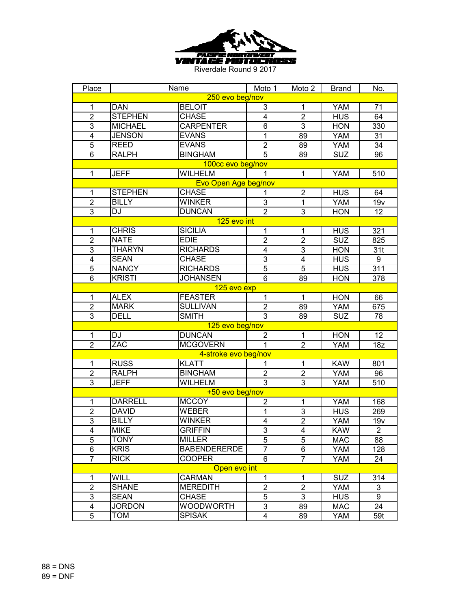

| Place                   |                | Name                 | Moto 1                  | Moto 2                  | <b>Brand</b> | No.            |  |  |
|-------------------------|----------------|----------------------|-------------------------|-------------------------|--------------|----------------|--|--|
| 250 evo beg/nov         |                |                      |                         |                         |              |                |  |  |
| 1                       | <b>DAN</b>     | <b>BELOIT</b>        | 3                       | 1                       | <b>YAM</b>   | 71             |  |  |
| $\overline{2}$          | <b>STEPHEN</b> | <b>CHASE</b>         | 4                       | $\overline{2}$          | <b>HUS</b>   | 64             |  |  |
| 3                       | <b>MICHAEL</b> | <b>CARPENTER</b>     | $\overline{6}$          | 3                       | <b>HON</b>   | 330            |  |  |
| $\overline{\mathbf{4}}$ | <b>JENSON</b>  | <b>EVANS</b>         | $\overline{1}$          | 89                      | <b>YAM</b>   | 31             |  |  |
| 5                       | <b>REED</b>    | <b>EVANS</b>         | $\overline{2}$          | 89                      | <b>YAM</b>   | 34             |  |  |
| 6                       | <b>RALPH</b>   | <b>BINGHAM</b>       | $\overline{5}$          | 89                      | <b>SUZ</b>   | 96             |  |  |
|                         |                | 100cc evo beg/nov    |                         |                         |              |                |  |  |
| $\mathbf{1}$            | <b>JEFF</b>    | <b>WILHELM</b>       | 1                       | $\mathbf{1}$            | <b>YAM</b>   | 510            |  |  |
| Evo Open Age beg/nov    |                |                      |                         |                         |              |                |  |  |
| 1                       | <b>STEPHEN</b> | <b>CHASE</b>         | 1                       | $\overline{2}$          | <b>HUS</b>   | 64             |  |  |
| $\overline{2}$          | <b>BILLY</b>   | <b>WINKER</b>        | 3                       | $\overline{1}$          | YAM          | 19v            |  |  |
| 3                       | DJ             | <b>DUNCAN</b>        | $\overline{2}$          | $\overline{3}$          | <b>HON</b>   | 12             |  |  |
|                         |                | 125 evo int          |                         |                         |              |                |  |  |
| $\mathbf 1$             | <b>CHRIS</b>   | <b>SICILIA</b>       | 1                       | 1                       | <b>HUS</b>   | 321            |  |  |
| $\overline{2}$          | <b>NATE</b>    | <b>EDIE</b>          | $\overline{c}$          | $\overline{2}$          | <b>SUZ</b>   | 825            |  |  |
| $\overline{3}$          | <b>THARYN</b>  | <b>RICHARDS</b>      | 4                       | 3                       | <b>HON</b>   | 31t            |  |  |
| $\overline{\mathbf{4}}$ | <b>SEAN</b>    | <b>CHASE</b>         | $\overline{3}$          | $\overline{\mathbf{4}}$ | <b>HUS</b>   | 9              |  |  |
| $\overline{5}$          | <b>NANCY</b>   | <b>RICHARDS</b>      | $\overline{5}$          | 5                       | <b>HUS</b>   | 311            |  |  |
| $6\phantom{1}$          | <b>KRISTI</b>  | <b>JOHANSEN</b>      | $\overline{6}$          | 89                      | <b>HON</b>   | 378            |  |  |
| 125 evo exp             |                |                      |                         |                         |              |                |  |  |
| $\mathbf 1$             | <b>ALEX</b>    | <b>FEASTER</b>       | $\mathbf 1$             | $\mathbf{1}$            | <b>HON</b>   | 66             |  |  |
| $\overline{2}$          | <b>MARK</b>    | <b>SULLIVAN</b>      | $\overline{2}$          | 89                      | <b>YAM</b>   | 675            |  |  |
| 3                       | <b>DELL</b>    | <b>SMITH</b>         | $\overline{3}$          | 89                      | SUZ          | 78             |  |  |
|                         |                | 125 evo beg/nov      |                         |                         |              |                |  |  |
| $\mathbf{1}$            | DJ             | <b>DUNCAN</b>        | $\overline{2}$          | $\mathbf{1}$            | <b>HON</b>   | 12             |  |  |
| $\overline{2}$          | ZAC            | <b>MCGOVERN</b>      | $\mathbf{1}$            | $\overline{2}$          | <b>YAM</b>   | 18z            |  |  |
|                         |                | 4-stroke evo beg/nov |                         |                         |              |                |  |  |
| $\mathbf{1}$            | <b>RUSS</b>    | <b>KLATT</b>         | 1                       | 1                       | <b>KAW</b>   | 801            |  |  |
| $\overline{2}$          | <b>RALPH</b>   | <b>BINGHAM</b>       | $\overline{2}$          | $\mathbf{2}$            | <b>YAM</b>   | 96             |  |  |
| $\overline{3}$          | <b>JEFF</b>    | <b>WILHELM</b>       | $\overline{3}$          | 3                       | <b>YAM</b>   | 510            |  |  |
|                         |                | +50 evo beg/nov      |                         |                         |              |                |  |  |
| 1                       | <b>DARRELL</b> | <b>MCCOY</b>         | $\overline{2}$          | 1                       | <b>YAM</b>   | 168            |  |  |
| $\overline{\mathbf{c}}$ | <b>DAVID</b>   | <b>WEBER</b>         | 1                       | $\mathsf 3$             | <b>HUS</b>   | 269            |  |  |
| 3                       | <b>BILLY</b>   | <b>WINKER</b>        | $\overline{\mathbf{4}}$ | $\overline{2}$          | <b>YAM</b>   | 19v            |  |  |
| 4                       | <b>MIKE</b>    | <b>GRIFFIN</b>       | 3                       | 4                       | <b>KAW</b>   | $\overline{2}$ |  |  |
| $\overline{5}$          | <b>TONY</b>    | <b>MILLER</b>        | $\overline{5}$          | $\overline{5}$          | <b>MAC</b>   | 88             |  |  |
| 6                       | <b>KRIS</b>    | <b>BABENDERERDE</b>  | $\overline{7}$          | 6                       | YAM          | 128            |  |  |
| $\overline{7}$          | <b>RICK</b>    | <b>COOPER</b>        | 6                       | $\overline{7}$          | YAM          | 24             |  |  |
| Open evo int            |                |                      |                         |                         |              |                |  |  |
| $\mathbf{1}$            | WILL           | <b>CARMAN</b>        | $\mathbf{1}$            | $\mathbf{1}$            | <b>SUZ</b>   | 314            |  |  |
| $\overline{2}$          | <b>SHANE</b>   | <b>MEREDITH</b>      | $\overline{2}$          | $\overline{2}$          | YAM          | 3              |  |  |
| 3                       | <b>SEAN</b>    | <b>CHASE</b>         | 5                       | 3                       | <b>HUS</b>   | 9              |  |  |
| 4                       | <b>JORDON</b>  | <b>WOODWORTH</b>     | 3                       | 89                      | MAC          | 24             |  |  |
| 5                       | <b>TOM</b>     | <b>SPISAK</b>        | $\overline{\mathbf{4}}$ | 89                      | YAM          | 59t            |  |  |